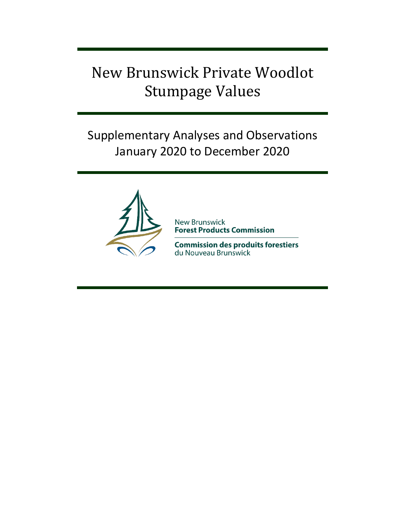# New Brunswick Private Woodlot Stumpage Values

## Supplementary Analyses and Observations January 2020 to December 2020



**New Brunswick Forest Products Commission** 

**Commission des produits forestiers** du Nouveau Brunswick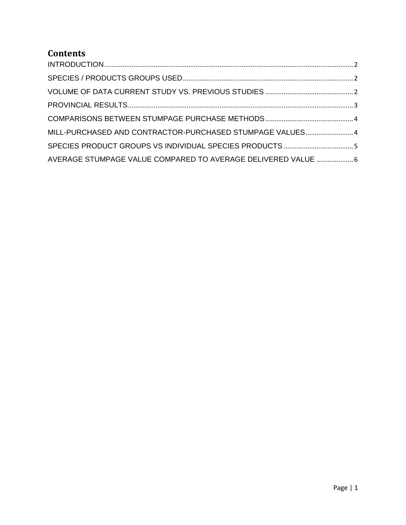### **Contents**

| MILL-PURCHASED AND CONTRACTOR-PURCHASED STUMPAGE VALUES 4     |  |
|---------------------------------------------------------------|--|
|                                                               |  |
| AVERAGE STUMPAGE VALUE COMPARED TO AVERAGE DELIVERED VALUE  6 |  |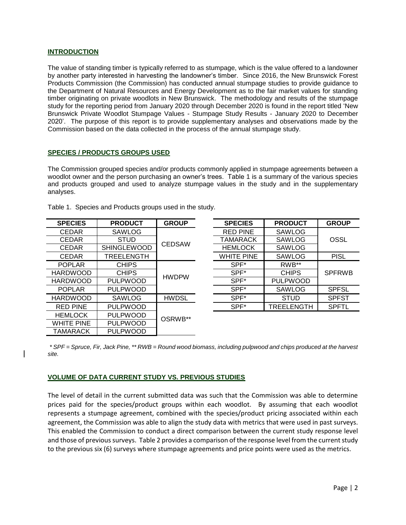#### <span id="page-2-0"></span>**INTRODUCTION**

The value of standing timber is typically referred to as stumpage, which is the value offered to a landowner by another party interested in harvesting the landowner's timber. Since 2016, the New Brunswick Forest Products Commission (the Commission) has conducted annual stumpage studies to provide guidance to the Department of Natural Resources and Energy Development as to the fair market values for standing timber originating on private woodlots in New Brunswick. The methodology and results of the stumpage study for the reporting period from January 2020 through December 2020 is found in the report titled 'New Brunswick Private Woodlot Stumpage Values - Stumpage Study Results - January 2020 to December 2020'. The purpose of this report is to provide supplementary analyses and observations made by the Commission based on the data collected in the process of the annual stumpage study.

#### <span id="page-2-1"></span>**SPECIES / PRODUCTS GROUPS USED**

The Commission grouped species and/or products commonly applied in stumpage agreements between a woodlot owner and the person purchasing an owner's trees. Table 1 is a summary of the various species and products grouped and used to analyze stumpage values in the study and in the supplementary analyses.

| <b>SPECIES</b>    | <b>PRODUCT</b>     | <b>GROUP</b>  |  | <b>SPECIES</b>    | <b>PRODUCT</b>  | <b>GROUP</b>  |
|-------------------|--------------------|---------------|--|-------------------|-----------------|---------------|
| <b>CEDAR</b>      | SAWLOG             |               |  | <b>RED PINE</b>   | <b>SAWLOG</b>   |               |
| <b>CEDAR</b>      | <b>STUD</b>        | <b>CEDSAW</b> |  | TAMARACK          | SAWLOG          | OSSL          |
| <b>CEDAR</b>      | <b>SHINGLEWOOD</b> |               |  | <b>HEMLOCK</b>    | <b>SAWLOG</b>   |               |
| <b>CEDAR</b>      | <b>TREELENGTH</b>  |               |  | <b>WHITE PINE</b> | <b>SAWLOG</b>   | <b>PISL</b>   |
| <b>POPLAR</b>     | <b>CHIPS</b>       | <b>HWDPW</b>  |  | $SPF^*$           | RWB**           |               |
| <b>HARDWOOD</b>   | CHIPS              |               |  | SPF*              | <b>CHIPS</b>    | <b>SPFRWB</b> |
| <b>HARDWOOD</b>   | <b>PULPWOOD</b>    |               |  | SPF*              | <b>PULPWOOD</b> |               |
| <b>POPLAR</b>     | <b>PULPWOOD</b>    |               |  | SPF*              | SAWLOG          | <b>SPFSL</b>  |
| <b>HARDWOOD</b>   | SAWLOG             | <b>HWDSL</b>  |  | SPF*              | <b>STUD</b>     | <b>SPFST</b>  |
| <b>RED PINE</b>   | <b>PULPWOOD</b>    | OSRWB**       |  | SPF*              | TREELENGTH      | <b>SPFTL</b>  |
| <b>HEMLOCK</b>    | <b>PULPWOOD</b>    |               |  |                   |                 |               |
| <b>WHITE PINE</b> | <b>PULPWOOD</b>    |               |  |                   |                 |               |
| TAMARACK          | <b>PULPWOOD</b>    |               |  |                   |                 |               |

| <b>SPECIES</b> | <b>PRODUCT</b>     | <b>GROUP</b>  | <b>SPECIES</b>    | <b>PRODUCT</b>    | <b>GROUP</b>  |
|----------------|--------------------|---------------|-------------------|-------------------|---------------|
| <b>CEDAR</b>   | <b>SAWLOG</b>      |               | <b>RED PINE</b>   | <b>SAWLOG</b>     |               |
| <b>CEDAR</b>   | <b>STUD</b>        | <b>CEDSAW</b> | TAMARACK          | <b>SAWLOG</b>     | OSSL          |
| <b>CEDAR</b>   | <b>SHINGLEWOOD</b> |               | <b>HEMLOCK</b>    | <b>SAWLOG</b>     |               |
| <b>CEDAR</b>   | TREELENGTH         |               | <b>WHITE PINE</b> | <b>SAWLOG</b>     | <b>PISL</b>   |
| <b>POPLAR</b>  | CHIPS              |               | SPF*              | RWB**             |               |
| ARDWOOD        | <b>CHIPS</b>       |               | SPF*              | <b>CHIPS</b>      | <b>SPFRWB</b> |
| ARDWOOD        | <b>PULPWOOD</b>    | <b>HWDPW</b>  | SPF*              | <b>PULPWOOD</b>   |               |
| <b>POPLAR</b>  | <b>PULPWOOD</b>    |               | SPF*              | <b>SAWLOG</b>     | <b>SPFSL</b>  |
| ARDWOOD        | <b>SAWLOG</b>      | <b>HWDSL</b>  | SPF*              | <b>STUD</b>       | <b>SPFST</b>  |
| RED PINE       | <b>PULPWOOD</b>    |               | SPF*              | <b>TREELENGTH</b> | <b>SPFTL</b>  |
|                |                    |               |                   |                   |               |

Table 1. Species and Products groups used in the study.

<span id="page-2-2"></span>*\* SPF = Spruce, Fir, Jack Pine, \*\* RWB = Round wood biomass, including pulpwood and chips produced at the harvest site.*

#### **VOLUME OF DATA CURRENT STUDY VS. PREVIOUS STUDIES**

The level of detail in the current submitted data was such that the Commission was able to determine prices paid for the species/product groups within each woodlot. By assuming that each woodlot represents a stumpage agreement, combined with the species/product pricing associated within each agreement, the Commission was able to align the study data with metrics that were used in past surveys. This enabled the Commission to conduct a direct comparison between the current study response level and those of previous surveys. Table 2 provides a comparison of the response level from the current study to the previous six (6) surveys where stumpage agreements and price points were used as the metrics.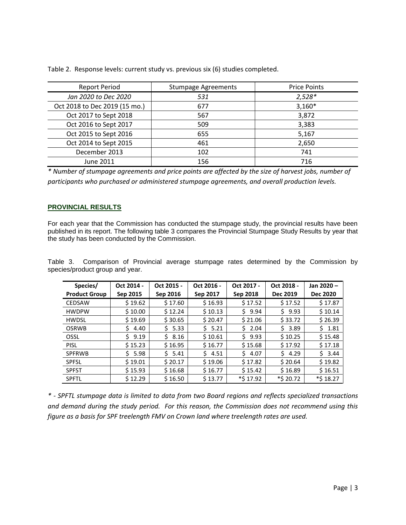| <b>Report Period</b>          | <b>Stumpage Agreements</b> | <b>Price Points</b> |
|-------------------------------|----------------------------|---------------------|
| Jan 2020 to Dec 2020          | 531                        | $2,528*$            |
| Oct 2018 to Dec 2019 (15 mo.) | 677                        | $3,160*$            |
| Oct 2017 to Sept 2018         | 567                        | 3,872               |
| Oct 2016 to Sept 2017         | 509                        | 3,383               |
| Oct 2015 to Sept 2016         | 655                        | 5,167               |
| Oct 2014 to Sept 2015         | 461                        | 2,650               |
| December 2013                 | 102                        | 741                 |
| June 2011                     | 156                        | 716                 |

Table 2. Response levels: current study vs. previous six (6) studies completed.

*\* Number of stumpage agreements and price points are affected by the size of harvest jobs, number of participants who purchased or administered stumpage agreements, and overall production levels.*

#### <span id="page-3-0"></span>**PROVINCIAL RESULTS**

For each year that the Commission has conducted the stumpage study, the provincial results have been published in its report. The following table 3 compares the Provincial Stumpage Study Results by year that the study has been conducted by the Commission.

Table 3. Comparison of Provincial average stumpage rates determined by the Commission by species/product group and year.

| Species/<br><b>Product Group</b> | Oct 2014 -<br>Sep 2015 | Oct 2015 -<br>Sep 2016 | Oct 2016 -<br>Sep 2017 | Oct 2017 -<br>Sep 2018 | Oct 2018 -<br><b>Dec 2019</b> | Jan 2020-<br><b>Dec 2020</b> |
|----------------------------------|------------------------|------------------------|------------------------|------------------------|-------------------------------|------------------------------|
| <b>CEDSAW</b>                    | \$19.62                | \$17.60                | \$16.93                | \$17.52                | \$17.52                       | \$17.87                      |
| <b>HWDPW</b>                     | \$10.00                | \$12.24                | \$10.13                | Ś.<br>9.94             | 59.93                         | \$10.14                      |
| <b>HWDSL</b>                     | \$19.69                | \$30.65                | \$20.47                | \$21.06                | \$33.72                       | \$26.39                      |
| <b>OSRWB</b>                     | 4.40<br>\$.            | 5.33                   | 5.21                   | Ś.<br>2.04             | \$3.89                        | \$1.81                       |
| OSSL                             | S.<br>9.19             | \$8.16                 | \$10.61                | Ś.<br>9.93             | \$10.25                       | \$15.48                      |
| <b>PISL</b>                      | \$15.23                | \$16.95                | \$16.77                | \$15.68                | \$17.92                       | \$17.18                      |
| <b>SPFRWB</b>                    | 5.98                   | 5.41                   | $S$ 4.51               | 4.07<br>S.             | 54.29                         | $5 \t3.44$                   |
| <b>SPFSL</b>                     | \$19.01                | \$20.17                | \$19.06                | \$17.82                | \$20.64                       | \$19.82                      |
| <b>SPFST</b>                     | \$15.93                | \$16.68                | \$16.77                | \$15.42                | \$16.89                       | \$16.51                      |
| <b>SPFTL</b>                     | \$12.29                | \$16.50                | \$13.77                | *\$ 17.92              | *\$ 20.72                     | *\$18.27                     |

*\* - SPFTL stumpage data is limited to data from two Board regions and reflects specialized transactions and demand during the study period. For this reason, the Commission does not recommend using this figure as a basis for SPF treelength FMV on Crown land where treelength rates are used.*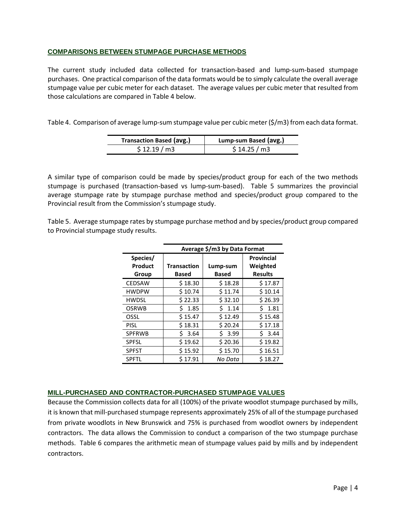#### <span id="page-4-0"></span>**COMPARISONS BETWEEN STUMPAGE PURCHASE METHODS**

The current study included data collected for transaction-based and lump-sum-based stumpage purchases. One practical comparison of the data formats would be to simply calculate the overall average stumpage value per cubic meter for each dataset. The average values per cubic meter that resulted from those calculations are compared in Table 4 below.

Table 4. Comparison of average lump-sum stumpage value per cubic meter (\$/m3) from each data format.

| <b>Transaction Based (avg.)</b> | Lump-sum Based (avg.) |
|---------------------------------|-----------------------|
| \$12.19/m3                      | \$14.25/m3            |

A similar type of comparison could be made by species/product group for each of the two methods stumpage is purchased (transaction-based vs lump-sum-based). Table 5 summarizes the provincial average stumpage rate by stumpage purchase method and species/product group compared to the Provincial result from the Commission's stumpage study.

Table 5. Average stumpage rates by stumpage purchase method and by species/product group compared to Provincial stumpage study results.

|                              | Average \$/m3 by Data Format |                          |                                                 |  |  |
|------------------------------|------------------------------|--------------------------|-------------------------------------------------|--|--|
| Species/<br>Product<br>Group | <b>Transaction</b><br>Based  | Lump-sum<br><b>Based</b> | <b>Provincial</b><br>Weighted<br><b>Results</b> |  |  |
| <b>CEDSAW</b>                | \$18.30                      | \$18.28                  | \$17.87                                         |  |  |
| <b>HWDPW</b>                 | \$10.74                      | \$11.74                  | \$10.14                                         |  |  |
| <b>HWDSL</b>                 | \$22.33                      | \$32.10                  | \$26.39                                         |  |  |
| <b>OSRWB</b>                 | 1.85<br>S                    | 1.14<br>Ś.               | 1.81<br>ς                                       |  |  |
| OSSL                         | \$15.47                      | \$12.49                  | \$15.48                                         |  |  |
| <b>PISL</b>                  | \$18.31                      | \$20.24                  | \$17.18                                         |  |  |
| <b>SPFRWB</b>                | 3.64<br>Ś                    | 3.99<br>S.               | S.<br>3.44                                      |  |  |
| <b>SPFSL</b>                 | \$19.62                      | \$20.36                  | \$19.82                                         |  |  |
| <b>SPFST</b>                 | \$15.92                      | \$15.70                  | \$16.51                                         |  |  |
| <b>SPFTL</b>                 | \$17.91                      | No Data                  | \$18.27                                         |  |  |

#### <span id="page-4-1"></span>**MILL-PURCHASED AND CONTRACTOR-PURCHASED STUMPAGE VALUES**

Because the Commission collects data for all (100%) of the private woodlot stumpage purchased by mills, it is known that mill-purchased stumpage represents approximately 25% of all of the stumpage purchased from private woodlots in New Brunswick and 75% is purchased from woodlot owners by independent contractors. The data allows the Commission to conduct a comparison of the two stumpage purchase methods. Table 6 compares the arithmetic mean of stumpage values paid by mills and by independent contractors.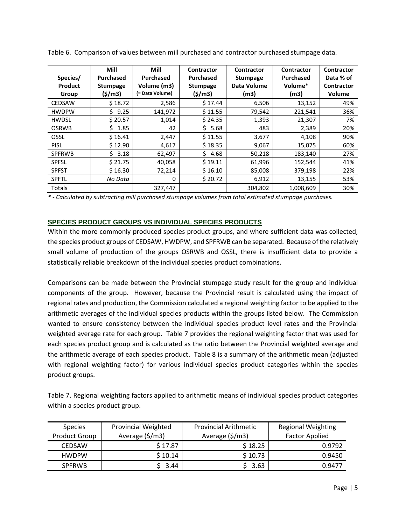| Species/<br>Product<br>Group | Mill<br><b>Purchased</b><br><b>Stumpage</b><br>(5/m3) | Mill<br><b>Purchased</b><br>Volume (m3)<br>(= Data Volume) | Contractor<br><b>Purchased</b><br><b>Stumpage</b><br>(5/m3) | Contractor<br><b>Stumpage</b><br>Data Volume<br>(m3) | Contractor<br><b>Purchased</b><br>Volume*<br>(m3) | Contractor<br>Data % of<br><b>Contractor</b><br><b>Volume</b> |
|------------------------------|-------------------------------------------------------|------------------------------------------------------------|-------------------------------------------------------------|------------------------------------------------------|---------------------------------------------------|---------------------------------------------------------------|
| <b>CEDSAW</b>                | \$18.72                                               | 2,586                                                      | \$17.44                                                     | 6,506                                                | 13,152                                            | 49%                                                           |
| <b>HWDPW</b>                 | 9.25<br>ς.                                            | 141,972                                                    | \$11.55                                                     | 79,542                                               | 221,541                                           | 36%                                                           |
| <b>HWDSL</b>                 | \$20.57                                               | 1,014                                                      | \$24.35                                                     | 1,393                                                | 21,307                                            | 7%                                                            |
| <b>OSRWB</b>                 | 1.85<br>S.                                            | 42                                                         | Ś.<br>5.68                                                  | 483                                                  | 2,389                                             | 20%                                                           |
| OSSL                         | \$16.41                                               | 2,447                                                      | \$11.55                                                     | 3,677                                                | 4,108                                             | 90%                                                           |
| <b>PISL</b>                  | \$12.90                                               | 4,617                                                      | \$18.35                                                     | 9,067                                                | 15,075                                            | 60%                                                           |
| <b>SPFRWB</b>                | 3.18<br>S.                                            | 62,497                                                     | Š.<br>4.68                                                  | 50,218                                               | 183,140                                           | 27%                                                           |
| <b>SPFSL</b>                 | \$21.75                                               | 40,058                                                     | \$19.11                                                     | 61,996                                               | 152,544                                           | 41%                                                           |
| <b>SPFST</b>                 | \$16.30                                               | 72,214                                                     | \$16.10                                                     | 85,008                                               | 379,198                                           | 22%                                                           |
| <b>SPFTL</b>                 | No Data                                               | 0                                                          | \$20.72                                                     | 6,912                                                | 13,155                                            | 53%                                                           |
| Totals                       |                                                       | 327,447                                                    |                                                             | 304,802                                              | 1,008,609                                         | 30%                                                           |

Table 6. Comparison of values between mill purchased and contractor purchased stumpage data.

*\* - Calculated by subtracting mill purchased stumpage volumes from total estimated stumpage purchases.*

#### <span id="page-5-0"></span>**SPECIES PRODUCT GROUPS VS INDIVIDUAL SPECIES PRODUCTS**

Within the more commonly produced species product groups, and where sufficient data was collected, the species product groups of CEDSAW, HWDPW, and SPFRWB can be separated. Because of the relatively small volume of production of the groups OSRWB and OSSL, there is insufficient data to provide a statistically reliable breakdown of the individual species product combinations.

Comparisons can be made between the Provincial stumpage study result for the group and individual components of the group. However, because the Provincial result is calculated using the impact of regional rates and production, the Commission calculated a regional weighting factor to be applied to the arithmetic averages of the individual species products within the groups listed below. The Commission wanted to ensure consistency between the individual species product level rates and the Provincial weighted average rate for each group. Table 7 provides the regional weighting factor that was used for each species product group and is calculated as the ratio between the Provincial weighted average and the arithmetic average of each species product. Table 8 is a summary of the arithmetic mean (adjusted with regional weighting factor) for various individual species product categories within the species product groups.

Table 7. Regional weighting factors applied to arithmetic means of individual species product categories within a species product group.

| <b>Species</b><br><b>Product Group</b> | <b>Provincial Weighted</b><br>Average (\$/m3) | <b>Provincial Arithmetic</b><br>Average $(\frac{\xi}{m}$ 3) | <b>Regional Weighting</b><br><b>Factor Applied</b> |
|----------------------------------------|-----------------------------------------------|-------------------------------------------------------------|----------------------------------------------------|
| <b>CEDSAW</b>                          | \$17.87                                       | \$18.25                                                     | 0.9792                                             |
| <b>HWDPW</b>                           | \$10.14                                       | \$10.73                                                     | 0.9450                                             |
| <b>SPFRWB</b>                          | \$3.44                                        | \$3.63                                                      | 0.9477                                             |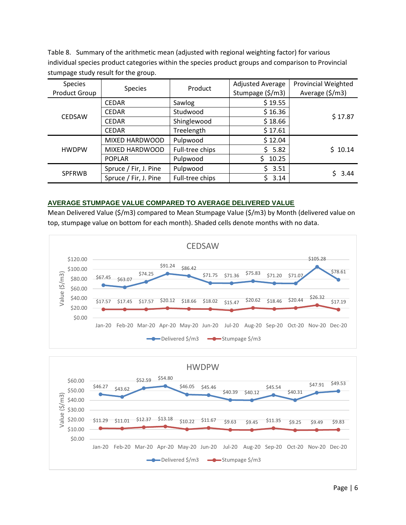Table 8. Summary of the arithmetic mean (adjusted with regional weighting factor) for various individual species product categories within the species product groups and comparison to Provincial stumpage study result for the group.

| <b>Species</b><br><b>Product Group</b> | <b>Species</b>        | Product         | <b>Adjusted Average</b><br>Stumpage (\$/m3) | <b>Provincial Weighted</b><br>Average (\$/m3) |
|----------------------------------------|-----------------------|-----------------|---------------------------------------------|-----------------------------------------------|
|                                        | <b>CEDAR</b>          | Sawlog          | \$19.55                                     |                                               |
|                                        | <b>CEDAR</b>          | Studwood        | \$16.36                                     | \$17.87                                       |
| <b>CEDSAW</b>                          | <b>CEDAR</b>          | Shinglewood     | \$18.66                                     |                                               |
|                                        | <b>CEDAR</b>          | Treelength      | \$17.61                                     |                                               |
|                                        | MIXED HARDWOOD        | Pulpwood        | \$12.04                                     |                                               |
| <b>HWDPW</b>                           | MIXED HARDWOOD        | Full-tree chips | 5.82<br>S.                                  | \$10.14                                       |
|                                        | <b>POPLAR</b>         | Pulpwood        | 10.25<br>S.                                 |                                               |
|                                        | Spruce / Fir, J. Pine | Pulpwood        | 3.51<br>S.                                  |                                               |
| <b>SPFRWB</b>                          | Spruce / Fir, J. Pine | Full-tree chips | 3.14                                        | $5 \t3.44$                                    |

#### <span id="page-6-0"></span>**AVERAGE STUMPAGE VALUE COMPARED TO AVERAGE DELIVERED VALUE**

Mean Delivered Value (\$/m3) compared to Mean Stumpage Value (\$/m3) by Month (delivered value on top, stumpage value on bottom for each month). Shaded cells denote months with no data.

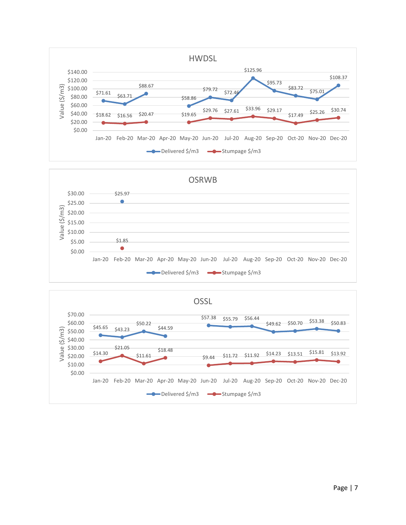



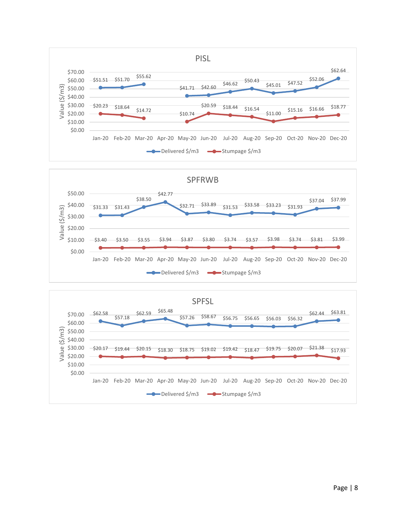